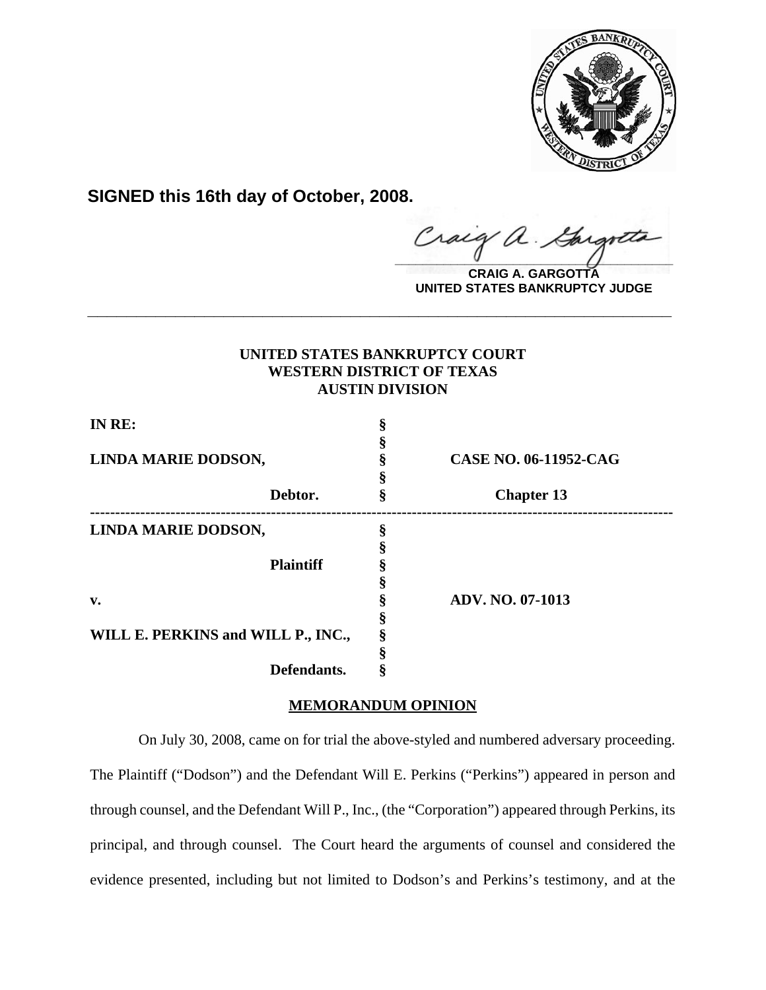

**SIGNED this 16th day of October, 2008.**

 $\alpha$ .  $\frac{1}{2}$ 

**CRAIG A. GARGOTTA UNITED STATES BANKRUPTCY JUDGE**

# **UNITED STATES BANKRUPTCY COURT WESTERN DISTRICT OF TEXAS AUSTIN DIVISION**

**\_\_\_\_\_\_\_\_\_\_\_\_\_\_\_\_\_\_\_\_\_\_\_\_\_\_\_\_\_\_\_\_\_\_\_\_\_\_\_\_\_\_\_\_\_\_\_\_\_\_\_\_\_\_\_\_\_\_\_\_**

| IN RE:                             |                  |                              |
|------------------------------------|------------------|------------------------------|
|                                    |                  |                              |
| LINDA MARIE DODSON,                |                  | <b>CASE NO. 06-11952-CAG</b> |
|                                    |                  |                              |
|                                    | Debtor.          | <b>Chapter 13</b>            |
| LINDA MARIE DODSON,                |                  |                              |
|                                    |                  |                              |
|                                    | <b>Plaintiff</b> |                              |
|                                    |                  |                              |
| v.                                 |                  | <b>ADV. NO. 07-1013</b>      |
|                                    |                  |                              |
| WILL E. PERKINS and WILL P., INC., |                  |                              |
|                                    |                  |                              |
|                                    | Defendants.      |                              |

## **MEMORANDUM OPINION**

 On July 30, 2008, came on for trial the above-styled and numbered adversary proceeding. The Plaintiff ("Dodson") and the Defendant Will E. Perkins ("Perkins") appeared in person and through counsel, and the Defendant Will P., Inc., (the "Corporation") appeared through Perkins, its principal, and through counsel. The Court heard the arguments of counsel and considered the evidence presented, including but not limited to Dodson's and Perkins's testimony, and at the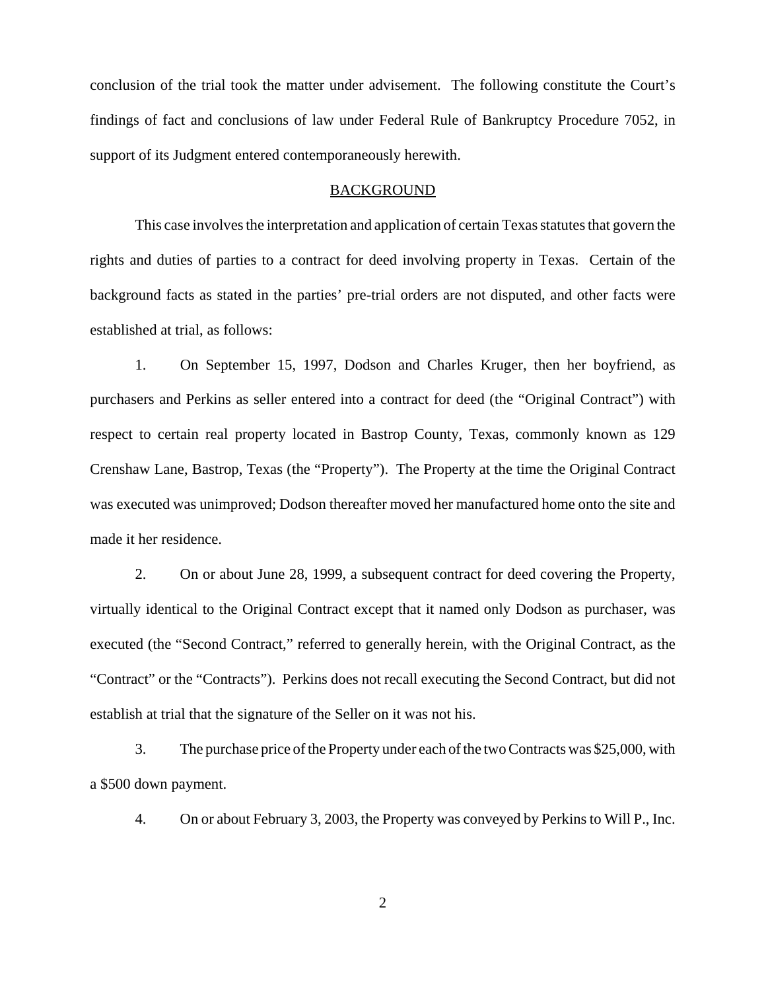conclusion of the trial took the matter under advisement. The following constitute the Court's findings of fact and conclusions of law under Federal Rule of Bankruptcy Procedure 7052, in support of its Judgment entered contemporaneously herewith.

#### **BACKGROUND**

This case involves the interpretation and application of certain Texas statutes that govern the rights and duties of parties to a contract for deed involving property in Texas. Certain of the background facts as stated in the parties' pre-trial orders are not disputed, and other facts were established at trial, as follows:

1. On September 15, 1997, Dodson and Charles Kruger, then her boyfriend, as purchasers and Perkins as seller entered into a contract for deed (the "Original Contract") with respect to certain real property located in Bastrop County, Texas, commonly known as 129 Crenshaw Lane, Bastrop, Texas (the "Property"). The Property at the time the Original Contract was executed was unimproved; Dodson thereafter moved her manufactured home onto the site and made it her residence.

2. On or about June 28, 1999, a subsequent contract for deed covering the Property, virtually identical to the Original Contract except that it named only Dodson as purchaser, was executed (the "Second Contract," referred to generally herein, with the Original Contract, as the "Contract" or the "Contracts"). Perkins does not recall executing the Second Contract, but did not establish at trial that the signature of the Seller on it was not his.

3. The purchase price of the Property under each of the two Contracts was \$25,000, with a \$500 down payment.

4. On or about February 3, 2003, the Property was conveyed by Perkins to Will P., Inc.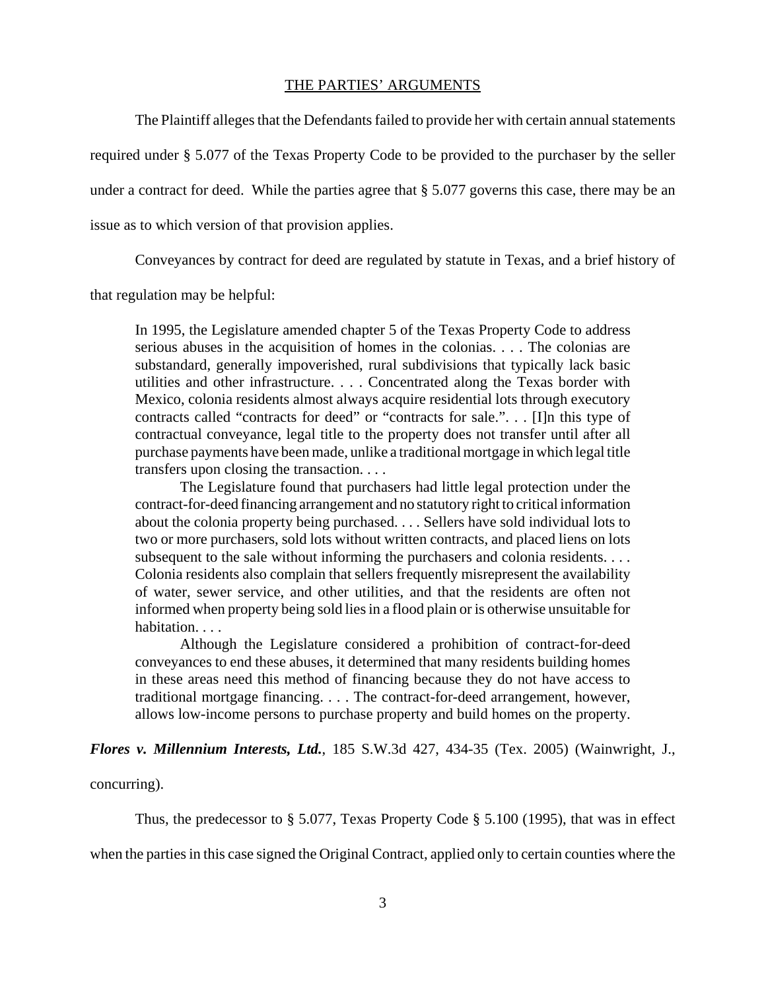## THE PARTIES' ARGUMENTS

The Plaintiff alleges that the Defendants failed to provide her with certain annual statements required under § 5.077 of the Texas Property Code to be provided to the purchaser by the seller under a contract for deed. While the parties agree that § 5.077 governs this case, there may be an issue as to which version of that provision applies.

Conveyances by contract for deed are regulated by statute in Texas, and a brief history of

that regulation may be helpful:

In 1995, the Legislature amended chapter 5 of the Texas Property Code to address serious abuses in the acquisition of homes in the colonias. . . . The colonias are substandard, generally impoverished, rural subdivisions that typically lack basic utilities and other infrastructure. . . . Concentrated along the Texas border with Mexico, colonia residents almost always acquire residential lots through executory contracts called "contracts for deed" or "contracts for sale.". . . [I]n this type of contractual conveyance, legal title to the property does not transfer until after all purchase payments have been made, unlike a traditional mortgage in which legal title transfers upon closing the transaction. . . .

The Legislature found that purchasers had little legal protection under the contract-for-deed financing arrangement and no statutory right to critical information about the colonia property being purchased. . . . Sellers have sold individual lots to two or more purchasers, sold lots without written contracts, and placed liens on lots subsequent to the sale without informing the purchasers and colonia residents. . . . Colonia residents also complain that sellers frequently misrepresent the availability of water, sewer service, and other utilities, and that the residents are often not informed when property being sold lies in a flood plain or is otherwise unsuitable for habitation. . . .

Although the Legislature considered a prohibition of contract-for-deed conveyances to end these abuses, it determined that many residents building homes in these areas need this method of financing because they do not have access to traditional mortgage financing. . . . The contract-for-deed arrangement, however, allows low-income persons to purchase property and build homes on the property.

*Flores v. Millennium Interests, Ltd.*, 185 S.W.3d 427, 434-35 (Tex. 2005) (Wainwright, J.,

concurring).

Thus, the predecessor to  $\S 5.077$ , Texas Property Code  $\S 5.100$  (1995), that was in effect

when the parties in this case signed the Original Contract, applied only to certain counties where the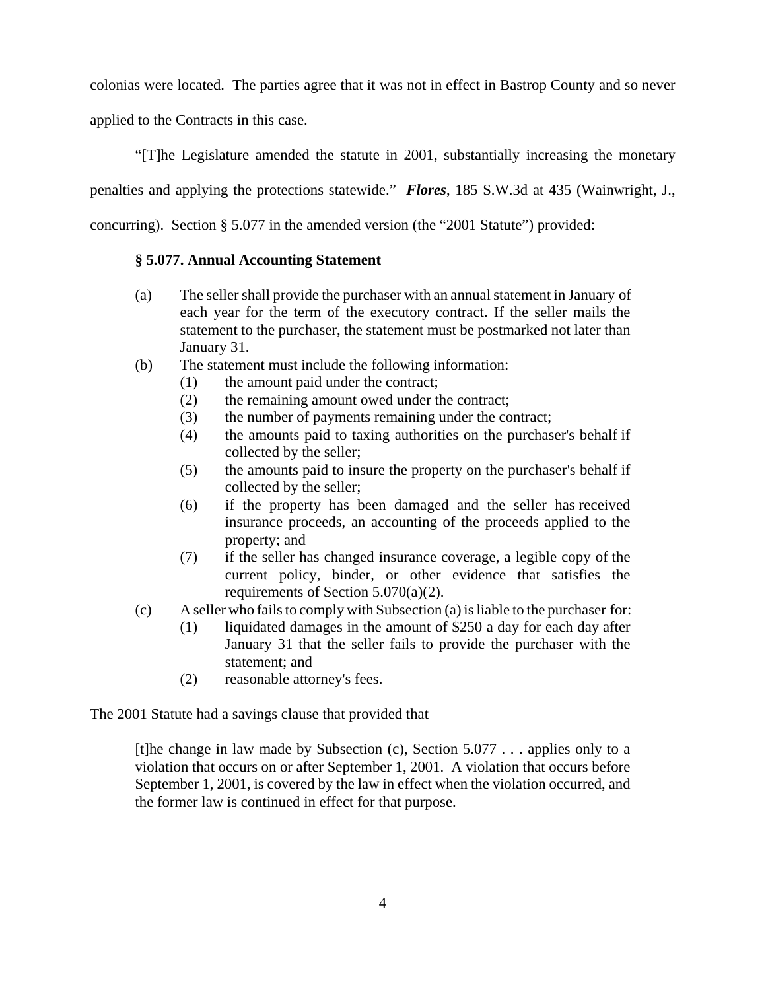colonias were located. The parties agree that it was not in effect in Bastrop County and so never applied to the Contracts in this case.

"[T]he Legislature amended the statute in 2001, substantially increasing the monetary

penalties and applying the protections statewide." *Flores*, 185 S.W.3d at 435 (Wainwright, J.,

concurring). Section § 5.077 in the amended version (the "2001 Statute") provided:

## **§ 5.077. Annual Accounting Statement**

- (a) The seller shall provide the purchaser with an annual statement in January of each year for the term of the executory contract. If the seller mails the statement to the purchaser, the statement must be postmarked not later than January 31.
- (b) The statement must include the following information:
	- (1) the amount paid under the contract;
	- (2) the remaining amount owed under the contract;
	- (3) the number of payments remaining under the contract;
	- (4) the amounts paid to taxing authorities on the purchaser's behalf if collected by the seller;
	- (5) the amounts paid to insure the property on the purchaser's behalf if collected by the seller;
	- (6) if the property has been damaged and the seller has received insurance proceeds, an accounting of the proceeds applied to the property; and
	- (7) if the seller has changed insurance coverage, a legible copy of the current policy, binder, or other evidence that satisfies the requirements of Section 5.070(a)(2).
- (c) A seller who fails to comply with Subsection (a) is liable to the purchaser for:
	- (1) liquidated damages in the amount of \$250 a day for each day after January 31 that the seller fails to provide the purchaser with the statement; and
	- (2) reasonable attorney's fees.

The 2001 Statute had a savings clause that provided that

[t]he change in law made by Subsection (c), Section 5.077 . . . applies only to a violation that occurs on or after September 1, 2001. A violation that occurs before September 1, 2001, is covered by the law in effect when the violation occurred, and the former law is continued in effect for that purpose.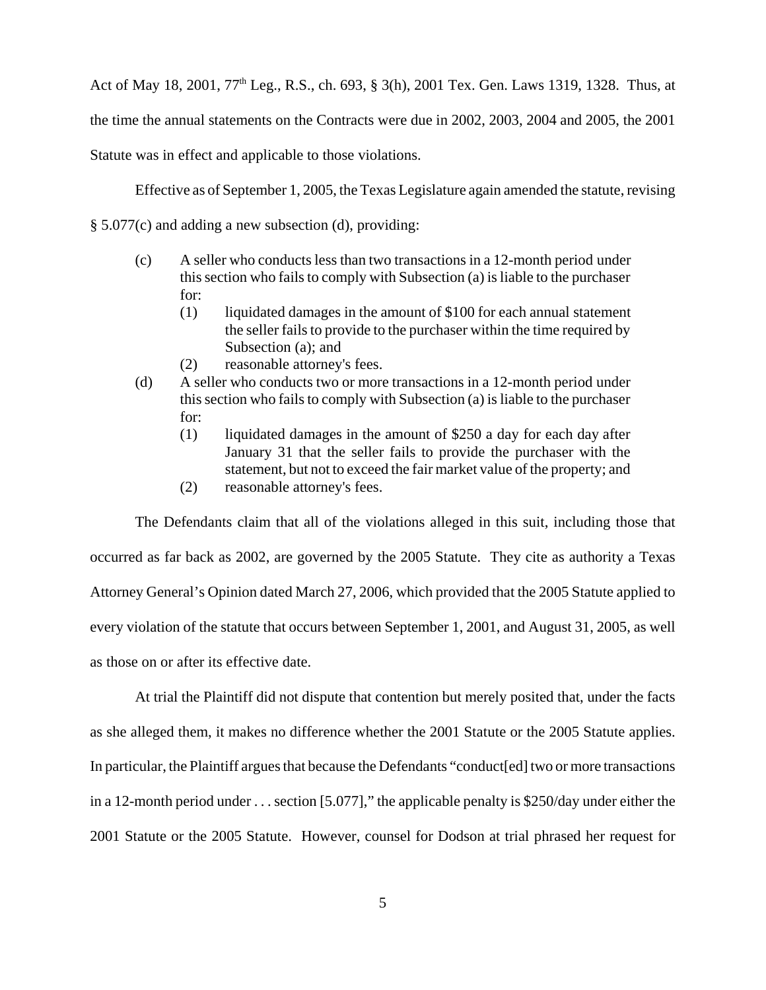Act of May 18, 2001, 77<sup>th</sup> Leg., R.S., ch. 693, § 3(h), 2001 Tex. Gen. Laws 1319, 1328. Thus, at the time the annual statements on the Contracts were due in 2002, 2003, 2004 and 2005, the 2001 Statute was in effect and applicable to those violations.

Effective as of September 1, 2005, the Texas Legislature again amended the statute, revising

§ 5.077(c) and adding a new subsection (d), providing:

- (c) A seller who conducts less than two transactions in a 12-month period under this section who fails to comply with Subsection (a) is liable to the purchaser for:
	- (1) liquidated damages in the amount of \$100 for each annual statement the seller fails to provide to the purchaser within the time required by Subsection (a); and
	- (2) reasonable attorney's fees.
- (d) A seller who conducts two or more transactions in a 12-month period under this section who fails to comply with Subsection (a) is liable to the purchaser for:
	- (1) liquidated damages in the amount of \$250 a day for each day after January 31 that the seller fails to provide the purchaser with the statement, but not to exceed the fair market value of the property; and
	- (2) reasonable attorney's fees.

The Defendants claim that all of the violations alleged in this suit, including those that occurred as far back as 2002, are governed by the 2005 Statute. They cite as authority a Texas Attorney General's Opinion dated March 27, 2006, which provided that the 2005 Statute applied to every violation of the statute that occurs between September 1, 2001, and August 31, 2005, as well as those on or after its effective date.

At trial the Plaintiff did not dispute that contention but merely posited that, under the facts as she alleged them, it makes no difference whether the 2001 Statute or the 2005 Statute applies. In particular, the Plaintiff argues that because the Defendants "conduct[ed] two or more transactions in a 12-month period under . . . section [5.077]," the applicable penalty is \$250/day under either the 2001 Statute or the 2005 Statute. However, counsel for Dodson at trial phrased her request for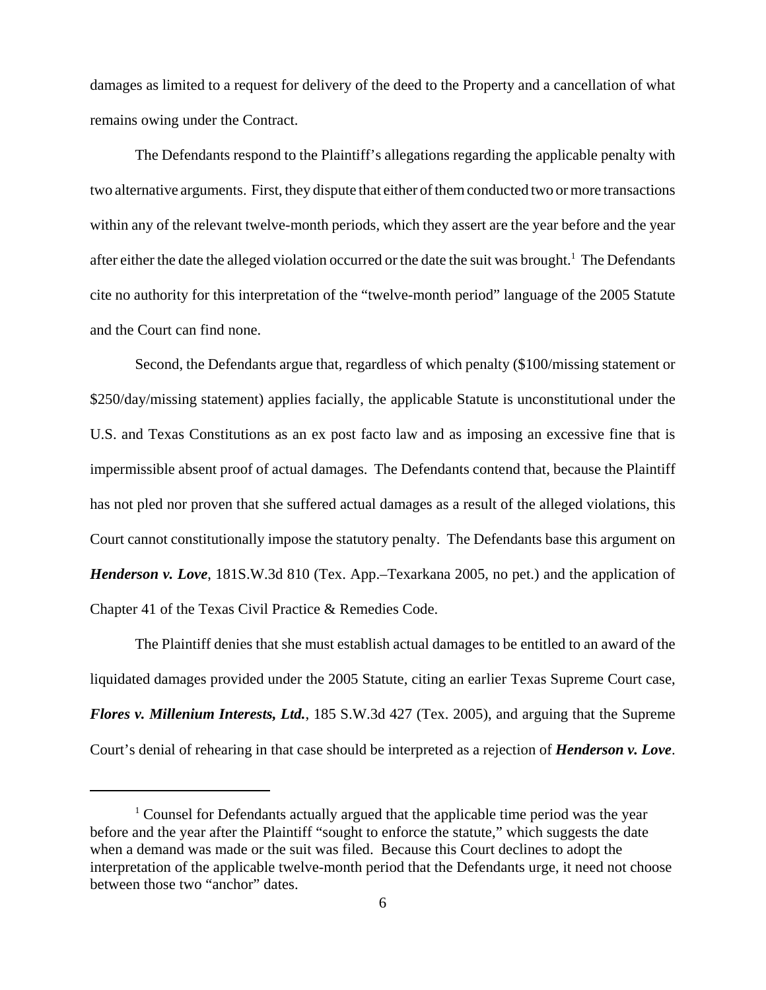damages as limited to a request for delivery of the deed to the Property and a cancellation of what remains owing under the Contract.

The Defendants respond to the Plaintiff's allegations regarding the applicable penalty with two alternative arguments. First, they dispute that either of them conducted two or more transactions within any of the relevant twelve-month periods, which they assert are the year before and the year after either the date the alleged violation occurred or the date the suit was brought.<sup>1</sup> The Defendants cite no authority for this interpretation of the "twelve-month period" language of the 2005 Statute and the Court can find none.

Second, the Defendants argue that, regardless of which penalty (\$100/missing statement or \$250/day/missing statement) applies facially, the applicable Statute is unconstitutional under the U.S. and Texas Constitutions as an ex post facto law and as imposing an excessive fine that is impermissible absent proof of actual damages. The Defendants contend that, because the Plaintiff has not pled nor proven that she suffered actual damages as a result of the alleged violations, this Court cannot constitutionally impose the statutory penalty. The Defendants base this argument on *Henderson v. Love*, 181S.W.3d 810 (Tex. App.–Texarkana 2005, no pet.) and the application of Chapter 41 of the Texas Civil Practice & Remedies Code.

The Plaintiff denies that she must establish actual damages to be entitled to an award of the liquidated damages provided under the 2005 Statute, citing an earlier Texas Supreme Court case, *Flores v. Millenium Interests, Ltd.*, 185 S.W.3d 427 (Tex. 2005), and arguing that the Supreme Court's denial of rehearing in that case should be interpreted as a rejection of *Henderson v. Love*.

<sup>&</sup>lt;sup>1</sup> Counsel for Defendants actually argued that the applicable time period was the year before and the year after the Plaintiff "sought to enforce the statute," which suggests the date when a demand was made or the suit was filed. Because this Court declines to adopt the interpretation of the applicable twelve-month period that the Defendants urge, it need not choose between those two "anchor" dates.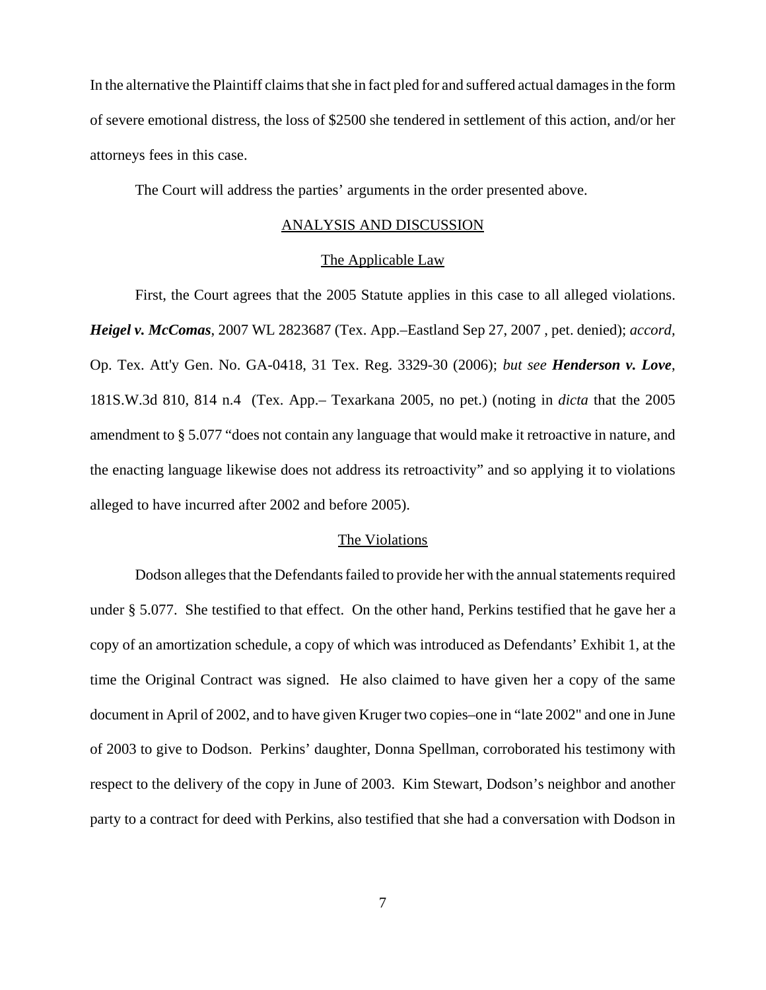In the alternative the Plaintiff claims that she in fact pled for and suffered actual damages in the form of severe emotional distress, the loss of \$2500 she tendered in settlement of this action, and/or her attorneys fees in this case.

The Court will address the parties' arguments in the order presented above.

#### ANALYSIS AND DISCUSSION

#### The Applicable Law

First, the Court agrees that the 2005 Statute applies in this case to all alleged violations. *Heigel v. McComas*, 2007 WL 2823687 (Tex. App.–Eastland Sep 27, 2007 , pet. denied); *accord,* Op. Tex. Att'y Gen. No. GA-0418, 31 Tex. Reg. 3329-30 (2006); *but see Henderson v. Love*, 181S.W.3d 810, 814 n.4 (Tex. App.– Texarkana 2005, no pet.) (noting in *dicta* that the 2005 amendment to § 5.077 "does not contain any language that would make it retroactive in nature, and the enacting language likewise does not address its retroactivity" and so applying it to violations alleged to have incurred after 2002 and before 2005).

## The Violations

Dodson alleges that the Defendants failed to provide her with the annual statements required under § 5.077. She testified to that effect. On the other hand, Perkins testified that he gave her a copy of an amortization schedule, a copy of which was introduced as Defendants' Exhibit 1, at the time the Original Contract was signed. He also claimed to have given her a copy of the same document in April of 2002, and to have given Kruger two copies–one in "late 2002" and one in June of 2003 to give to Dodson. Perkins' daughter, Donna Spellman, corroborated his testimony with respect to the delivery of the copy in June of 2003. Kim Stewart, Dodson's neighbor and another party to a contract for deed with Perkins, also testified that she had a conversation with Dodson in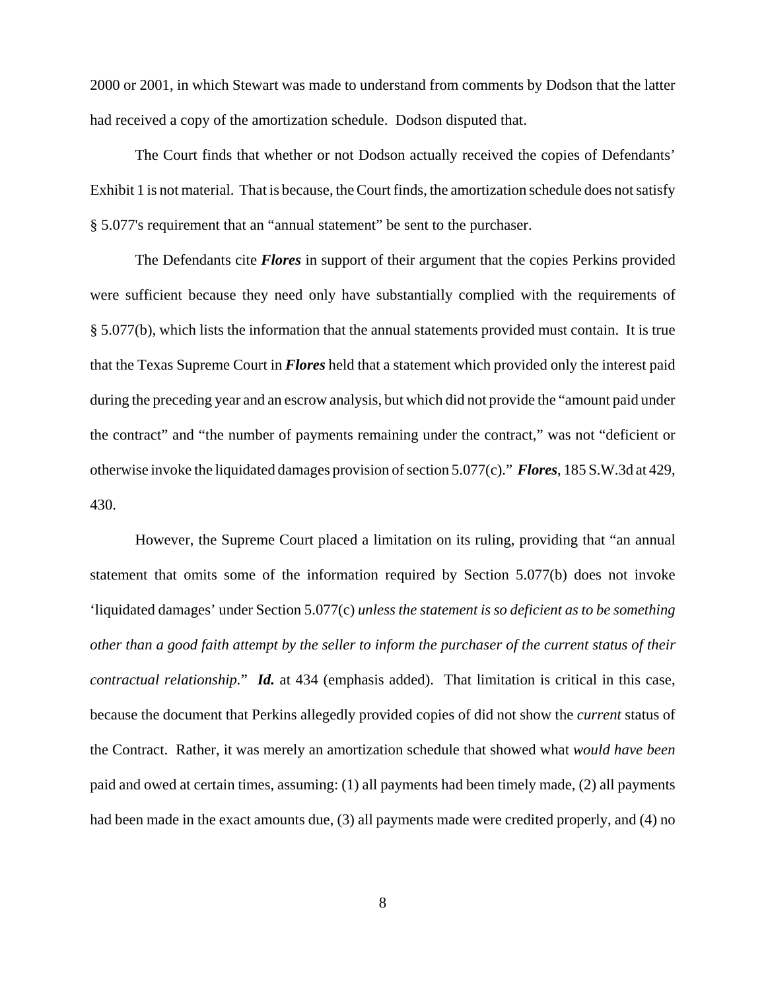2000 or 2001, in which Stewart was made to understand from comments by Dodson that the latter had received a copy of the amortization schedule. Dodson disputed that.

The Court finds that whether or not Dodson actually received the copies of Defendants' Exhibit 1 is not material. That is because, the Court finds, the amortization schedule does not satisfy § 5.077's requirement that an "annual statement" be sent to the purchaser.

The Defendants cite *Flores* in support of their argument that the copies Perkins provided were sufficient because they need only have substantially complied with the requirements of § 5.077(b), which lists the information that the annual statements provided must contain. It is true that the Texas Supreme Court in *Flores* held that a statement which provided only the interest paid during the preceding year and an escrow analysis, but which did not provide the "amount paid under the contract" and "the number of payments remaining under the contract," was not "deficient or otherwise invoke the liquidated damages provision of section 5.077(c)." *Flores*, 185 S.W.3d at 429, 430.

However, the Supreme Court placed a limitation on its ruling, providing that "an annual statement that omits some of the information required by Section 5.077(b) does not invoke 'liquidated damages' under Section 5.077(c) *unless the statement is so deficient as to be something other than a good faith attempt by the seller to inform the purchaser of the current status of their contractual relationship.*" *Id.* at 434 (emphasis added). That limitation is critical in this case, because the document that Perkins allegedly provided copies of did not show the *current* status of the Contract. Rather, it was merely an amortization schedule that showed what *would have been* paid and owed at certain times, assuming: (1) all payments had been timely made, (2) all payments had been made in the exact amounts due, (3) all payments made were credited properly, and (4) no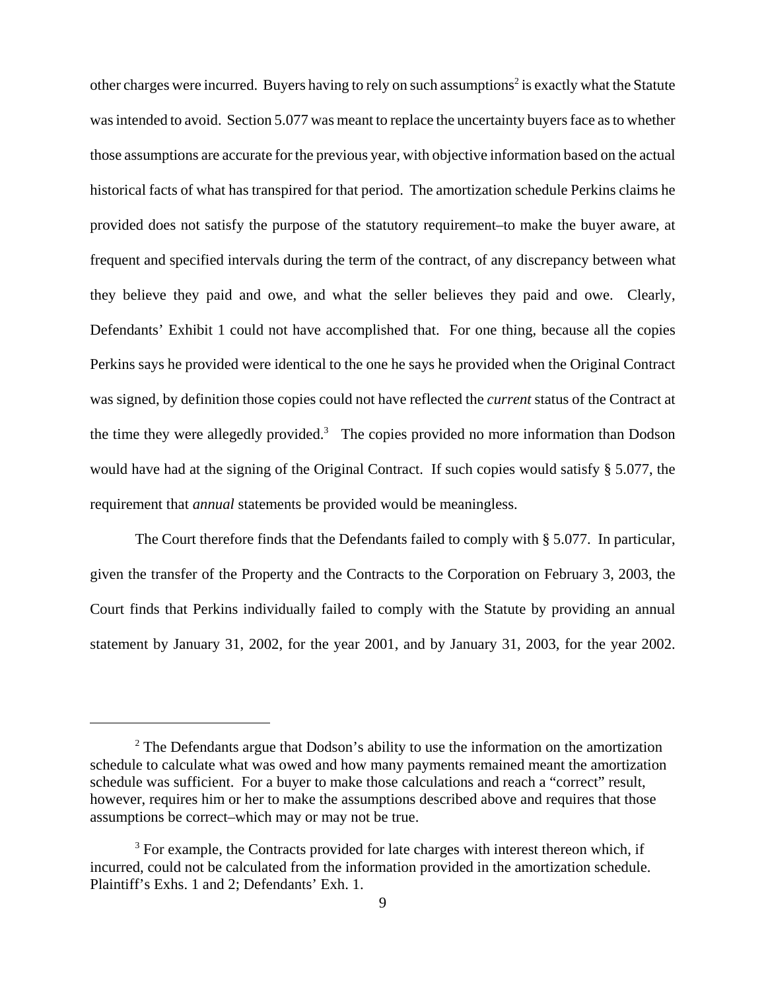other charges were incurred. Buyers having to rely on such assumptions<sup>2</sup> is exactly what the Statute was intended to avoid. Section 5.077 was meant to replace the uncertainty buyers face as to whether those assumptions are accurate for the previous year, with objective information based on the actual historical facts of what has transpired for that period. The amortization schedule Perkins claims he provided does not satisfy the purpose of the statutory requirement–to make the buyer aware, at frequent and specified intervals during the term of the contract, of any discrepancy between what they believe they paid and owe, and what the seller believes they paid and owe. Clearly, Defendants' Exhibit 1 could not have accomplished that. For one thing, because all the copies Perkins says he provided were identical to the one he says he provided when the Original Contract was signed, by definition those copies could not have reflected the *current* status of the Contract at the time they were allegedly provided.<sup>3</sup> The copies provided no more information than Dodson would have had at the signing of the Original Contract. If such copies would satisfy § 5.077, the requirement that *annual* statements be provided would be meaningless.

The Court therefore finds that the Defendants failed to comply with § 5.077. In particular, given the transfer of the Property and the Contracts to the Corporation on February 3, 2003, the Court finds that Perkins individually failed to comply with the Statute by providing an annual statement by January 31, 2002, for the year 2001, and by January 31, 2003, for the year 2002.

 $2$  The Defendants argue that Dodson's ability to use the information on the amortization schedule to calculate what was owed and how many payments remained meant the amortization schedule was sufficient. For a buyer to make those calculations and reach a "correct" result, however, requires him or her to make the assumptions described above and requires that those assumptions be correct–which may or may not be true.

 $3$  For example, the Contracts provided for late charges with interest thereon which, if incurred, could not be calculated from the information provided in the amortization schedule. Plaintiff's Exhs. 1 and 2; Defendants' Exh. 1.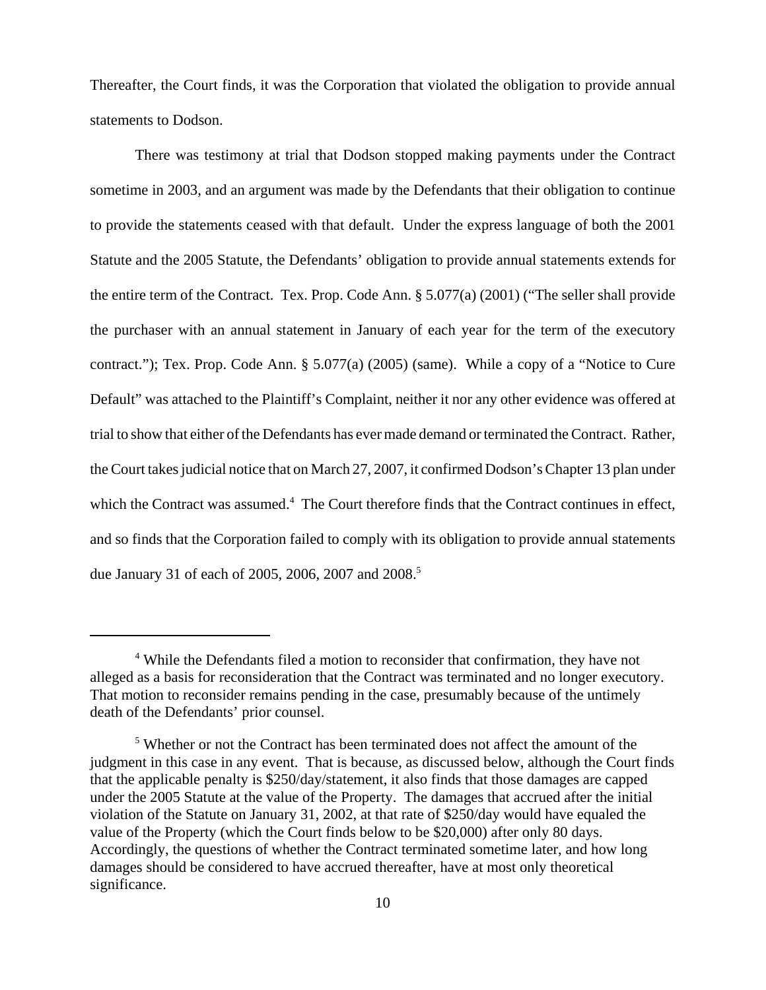Thereafter, the Court finds, it was the Corporation that violated the obligation to provide annual statements to Dodson.

There was testimony at trial that Dodson stopped making payments under the Contract sometime in 2003, and an argument was made by the Defendants that their obligation to continue to provide the statements ceased with that default. Under the express language of both the 2001 Statute and the 2005 Statute, the Defendants' obligation to provide annual statements extends for the entire term of the Contract. Tex. Prop. Code Ann. § 5.077(a) (2001) ("The seller shall provide the purchaser with an annual statement in January of each year for the term of the executory contract."); Tex. Prop. Code Ann. § 5.077(a) (2005) (same). While a copy of a "Notice to Cure Default" was attached to the Plaintiff's Complaint, neither it nor any other evidence was offered at trial to show that either of the Defendants has ever made demand or terminated the Contract. Rather, the Court takes judicial notice that on March 27, 2007, it confirmed Dodson's Chapter 13 plan under which the Contract was assumed.<sup>4</sup> The Court therefore finds that the Contract continues in effect, and so finds that the Corporation failed to comply with its obligation to provide annual statements due January 31 of each of 2005, 2006, 2007 and 2008.<sup>5</sup>

<sup>&</sup>lt;sup>4</sup> While the Defendants filed a motion to reconsider that confirmation, they have not alleged as a basis for reconsideration that the Contract was terminated and no longer executory. That motion to reconsider remains pending in the case, presumably because of the untimely death of the Defendants' prior counsel.

<sup>&</sup>lt;sup>5</sup> Whether or not the Contract has been terminated does not affect the amount of the judgment in this case in any event. That is because, as discussed below, although the Court finds that the applicable penalty is \$250/day/statement, it also finds that those damages are capped under the 2005 Statute at the value of the Property. The damages that accrued after the initial violation of the Statute on January 31, 2002, at that rate of \$250/day would have equaled the value of the Property (which the Court finds below to be \$20,000) after only 80 days. Accordingly, the questions of whether the Contract terminated sometime later, and how long damages should be considered to have accrued thereafter, have at most only theoretical significance.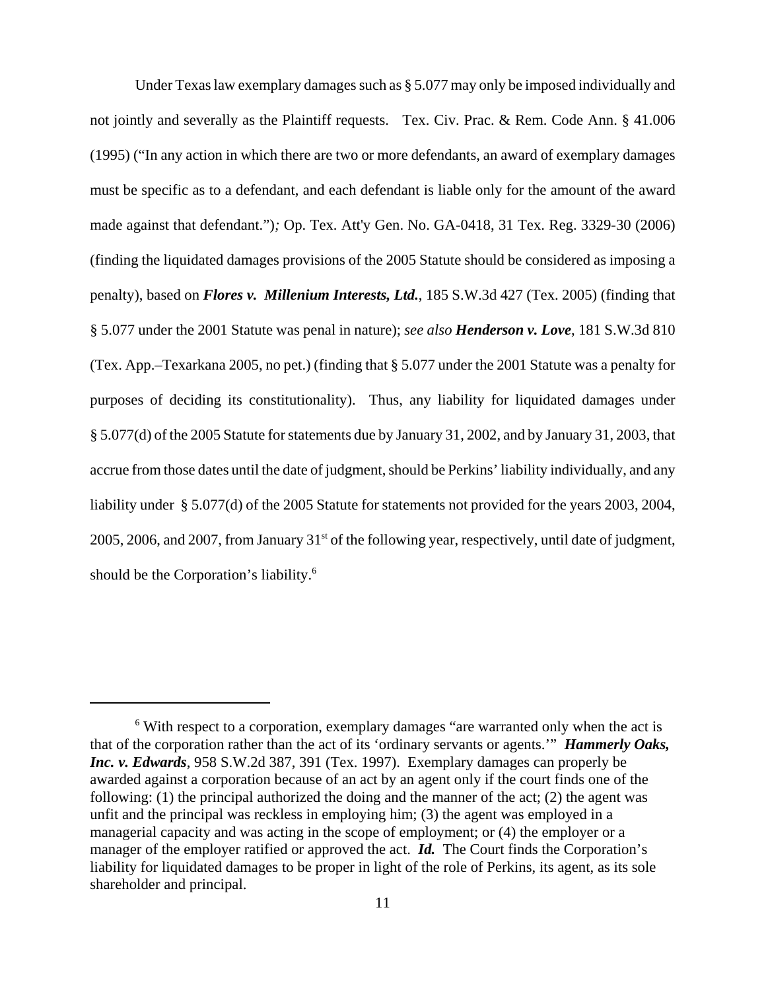Under Texas law exemplary damages such as § 5.077 may only be imposed individually and not jointly and severally as the Plaintiff requests. Tex. Civ. Prac. & Rem. Code Ann. § 41.006 (1995) ("In any action in which there are two or more defendants, an award of exemplary damages must be specific as to a defendant, and each defendant is liable only for the amount of the award made against that defendant.")*;* Op. Tex. Att'y Gen. No. GA-0418, 31 Tex. Reg. 3329-30 (2006) (finding the liquidated damages provisions of the 2005 Statute should be considered as imposing a penalty), based on *Flores v. Millenium Interests, Ltd.*, 185 S.W.3d 427 (Tex. 2005) (finding that § 5.077 under the 2001 Statute was penal in nature); *see also Henderson v. Love*, 181 S.W.3d 810 (Tex. App.–Texarkana 2005, no pet.) (finding that § 5.077 under the 2001 Statute was a penalty for purposes of deciding its constitutionality). Thus, any liability for liquidated damages under § 5.077(d) of the 2005 Statute for statements due by January 31, 2002, and by January 31, 2003, that accrue from those dates until the date of judgment, should be Perkins' liability individually, and any liability under § 5.077(d) of the 2005 Statute for statements not provided for the years 2003, 2004, 2005, 2006, and 2007, from January  $31<sup>st</sup>$  of the following year, respectively, until date of judgment, should be the Corporation's liability.<sup>6</sup>

<sup>&</sup>lt;sup>6</sup> With respect to a corporation, exemplary damages "are warranted only when the act is that of the corporation rather than the act of its 'ordinary servants or agents.'" *Hammerly Oaks, Inc. v. Edwards*, 958 S.W.2d 387, 391 (Tex. 1997). Exemplary damages can properly be awarded against a corporation because of an act by an agent only if the court finds one of the following: (1) the principal authorized the doing and the manner of the act; (2) the agent was unfit and the principal was reckless in employing him; (3) the agent was employed in a managerial capacity and was acting in the scope of employment; or (4) the employer or a manager of the employer ratified or approved the act. *Id.* The Court finds the Corporation's liability for liquidated damages to be proper in light of the role of Perkins, its agent, as its sole shareholder and principal.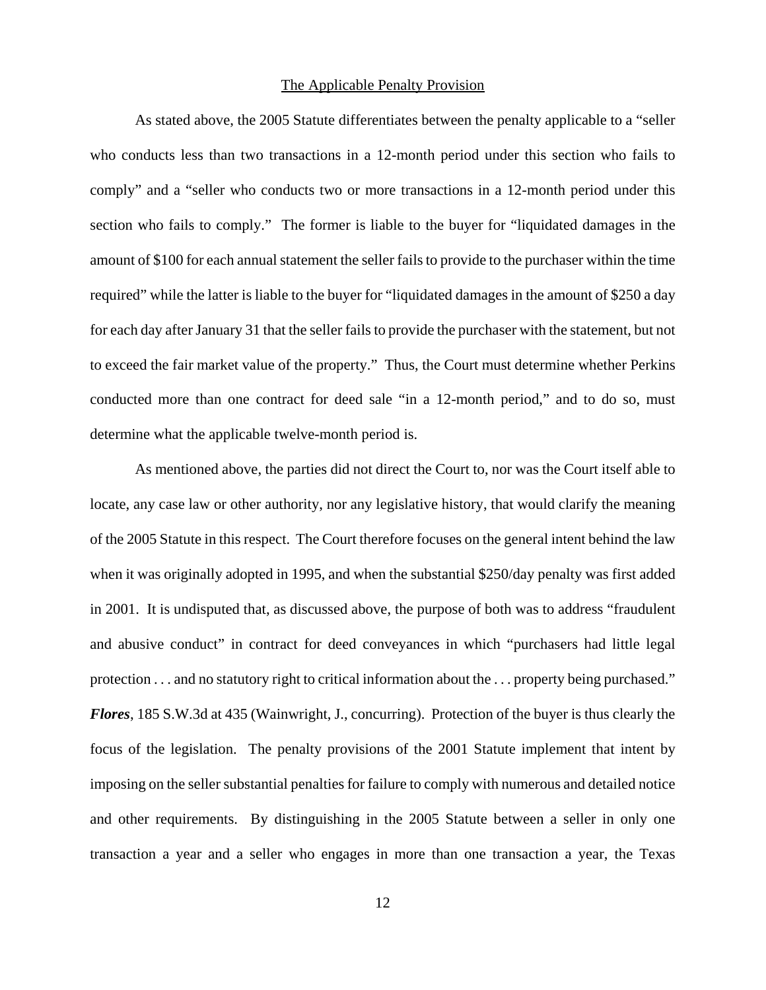### The Applicable Penalty Provision

As stated above, the 2005 Statute differentiates between the penalty applicable to a "seller who conducts less than two transactions in a 12-month period under this section who fails to comply" and a "seller who conducts two or more transactions in a 12-month period under this section who fails to comply." The former is liable to the buyer for "liquidated damages in the amount of \$100 for each annual statement the seller fails to provide to the purchaser within the time required" while the latter is liable to the buyer for "liquidated damages in the amount of \$250 a day for each day after January 31 that the seller fails to provide the purchaser with the statement, but not to exceed the fair market value of the property." Thus, the Court must determine whether Perkins conducted more than one contract for deed sale "in a 12-month period," and to do so, must determine what the applicable twelve-month period is.

As mentioned above, the parties did not direct the Court to, nor was the Court itself able to locate, any case law or other authority, nor any legislative history, that would clarify the meaning of the 2005 Statute in this respect. The Court therefore focuses on the general intent behind the law when it was originally adopted in 1995, and when the substantial \$250/day penalty was first added in 2001. It is undisputed that, as discussed above, the purpose of both was to address "fraudulent and abusive conduct" in contract for deed conveyances in which "purchasers had little legal protection . . . and no statutory right to critical information about the . . . property being purchased." *Flores*, 185 S.W.3d at 435 (Wainwright, J., concurring). Protection of the buyer is thus clearly the focus of the legislation. The penalty provisions of the 2001 Statute implement that intent by imposing on the seller substantial penalties for failure to comply with numerous and detailed notice and other requirements. By distinguishing in the 2005 Statute between a seller in only one transaction a year and a seller who engages in more than one transaction a year, the Texas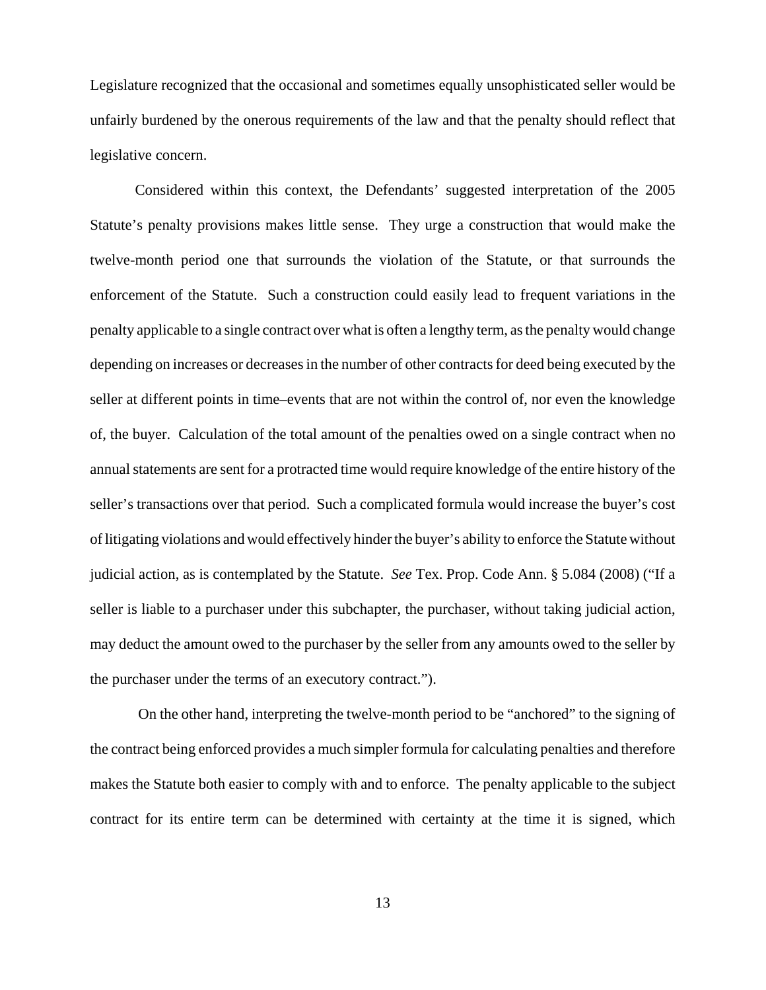Legislature recognized that the occasional and sometimes equally unsophisticated seller would be unfairly burdened by the onerous requirements of the law and that the penalty should reflect that legislative concern.

Considered within this context, the Defendants' suggested interpretation of the 2005 Statute's penalty provisions makes little sense. They urge a construction that would make the twelve-month period one that surrounds the violation of the Statute, or that surrounds the enforcement of the Statute. Such a construction could easily lead to frequent variations in the penalty applicable to a single contract over what is often a lengthy term, as the penalty would change depending on increases or decreases in the number of other contracts for deed being executed by the seller at different points in time–events that are not within the control of, nor even the knowledge of, the buyer. Calculation of the total amount of the penalties owed on a single contract when no annual statements are sent for a protracted time would require knowledge of the entire history of the seller's transactions over that period. Such a complicated formula would increase the buyer's cost of litigating violations and would effectively hinder the buyer's ability to enforce the Statute without judicial action, as is contemplated by the Statute. *See* Tex. Prop. Code Ann. § 5.084 (2008) ("If a seller is liable to a purchaser under this subchapter, the purchaser, without taking judicial action, may deduct the amount owed to the purchaser by the seller from any amounts owed to the seller by the purchaser under the terms of an executory contract.").

 On the other hand, interpreting the twelve-month period to be "anchored" to the signing of the contract being enforced provides a much simpler formula for calculating penalties and therefore makes the Statute both easier to comply with and to enforce. The penalty applicable to the subject contract for its entire term can be determined with certainty at the time it is signed, which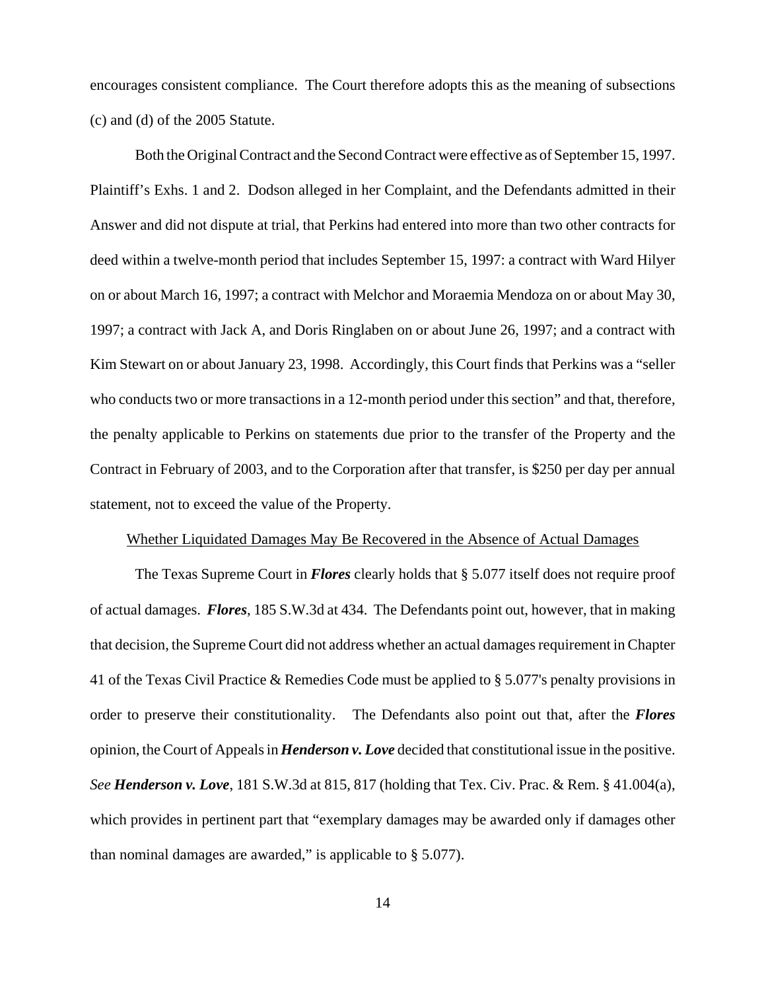encourages consistent compliance. The Court therefore adopts this as the meaning of subsections (c) and (d) of the 2005 Statute.

Both the Original Contract and the Second Contract were effective as of September 15, 1997. Plaintiff's Exhs. 1 and 2. Dodson alleged in her Complaint, and the Defendants admitted in their Answer and did not dispute at trial, that Perkins had entered into more than two other contracts for deed within a twelve-month period that includes September 15, 1997: a contract with Ward Hilyer on or about March 16, 1997; a contract with Melchor and Moraemia Mendoza on or about May 30, 1997; a contract with Jack A, and Doris Ringlaben on or about June 26, 1997; and a contract with Kim Stewart on or about January 23, 1998. Accordingly, this Court finds that Perkins was a "seller who conducts two or more transactions in a 12-month period under this section" and that, therefore, the penalty applicable to Perkins on statements due prior to the transfer of the Property and the Contract in February of 2003, and to the Corporation after that transfer, is \$250 per day per annual statement, not to exceed the value of the Property.

## Whether Liquidated Damages May Be Recovered in the Absence of Actual Damages

The Texas Supreme Court in *Flores* clearly holds that § 5.077 itself does not require proof of actual damages. *Flores*, 185 S.W.3d at 434. The Defendants point out, however, that in making that decision, the Supreme Court did not address whether an actual damages requirement in Chapter 41 of the Texas Civil Practice & Remedies Code must be applied to § 5.077's penalty provisions in order to preserve their constitutionality. The Defendants also point out that, after the *Flores* opinion, the Court of Appeals in *Henderson v. Love* decided that constitutional issue in the positive. *See Henderson v. Love*, 181 S.W.3d at 815, 817 (holding that Tex. Civ. Prac. & Rem. § 41.004(a), which provides in pertinent part that "exemplary damages may be awarded only if damages other than nominal damages are awarded," is applicable to § 5.077).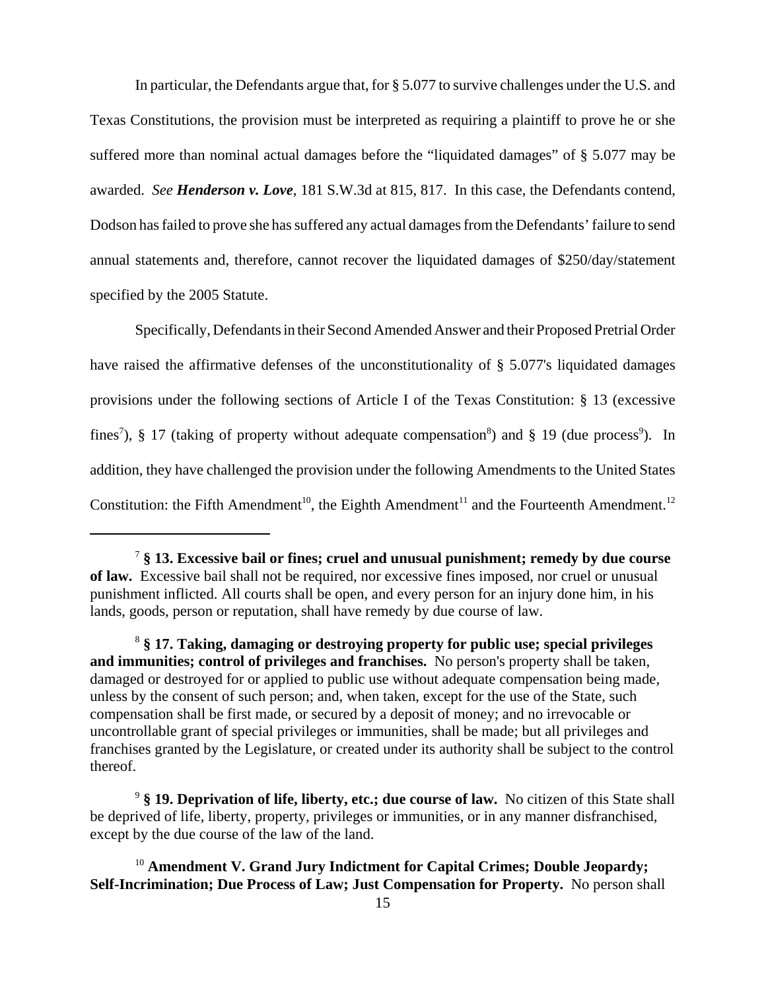In particular, the Defendants argue that, for § 5.077 to survive challenges under the U.S. and Texas Constitutions, the provision must be interpreted as requiring a plaintiff to prove he or she suffered more than nominal actual damages before the "liquidated damages" of § 5.077 may be awarded. *See Henderson v. Love*, 181 S.W.3d at 815, 817. In this case, the Defendants contend, Dodson has failed to prove she has suffered any actual damages from the Defendants' failure to send annual statements and, therefore, cannot recover the liquidated damages of \$250/day/statement specified by the 2005 Statute.

Specifically, Defendants in their Second Amended Answer and their Proposed Pretrial Order have raised the affirmative defenses of the unconstitutionality of § 5.077's liquidated damages provisions under the following sections of Article I of the Texas Constitution: § 13 (excessive fines<sup>7</sup>), § 17 (taking of property without adequate compensation<sup>8</sup>) and § 19 (due process<sup>9</sup>). In addition, they have challenged the provision under the following Amendments to the United States Constitution: the Fifth Amendment<sup>10</sup>, the Eighth Amendment<sup>11</sup> and the Fourteenth Amendment.<sup>12</sup>

<sup>7</sup> **§ 13. Excessive bail or fines; cruel and unusual punishment; remedy by due course of law.** Excessive bail shall not be required, nor excessive fines imposed, nor cruel or unusual punishment inflicted. All courts shall be open, and every person for an injury done him, in his lands, goods, person or reputation, shall have remedy by due course of law.

<sup>8</sup> **§ 17. Taking, damaging or destroying property for public use; special privileges and immunities; control of privileges and franchises.** No person's property shall be taken, damaged or destroyed for or applied to public use without adequate compensation being made, unless by the consent of such person; and, when taken, except for the use of the State, such compensation shall be first made, or secured by a deposit of money; and no irrevocable or uncontrollable grant of special privileges or immunities, shall be made; but all privileges and franchises granted by the Legislature, or created under its authority shall be subject to the control thereof.

<sup>9</sup> **§ 19. Deprivation of life, liberty, etc.; due course of law.** No citizen of this State shall be deprived of life, liberty, property, privileges or immunities, or in any manner disfranchised, except by the due course of the law of the land.

<sup>&</sup>lt;sup>10</sup> Amendment V. Grand Jury Indictment for Capital Crimes; Double Jeopardy; **Self-Incrimination; Due Process of Law; Just Compensation for Property.** No person shall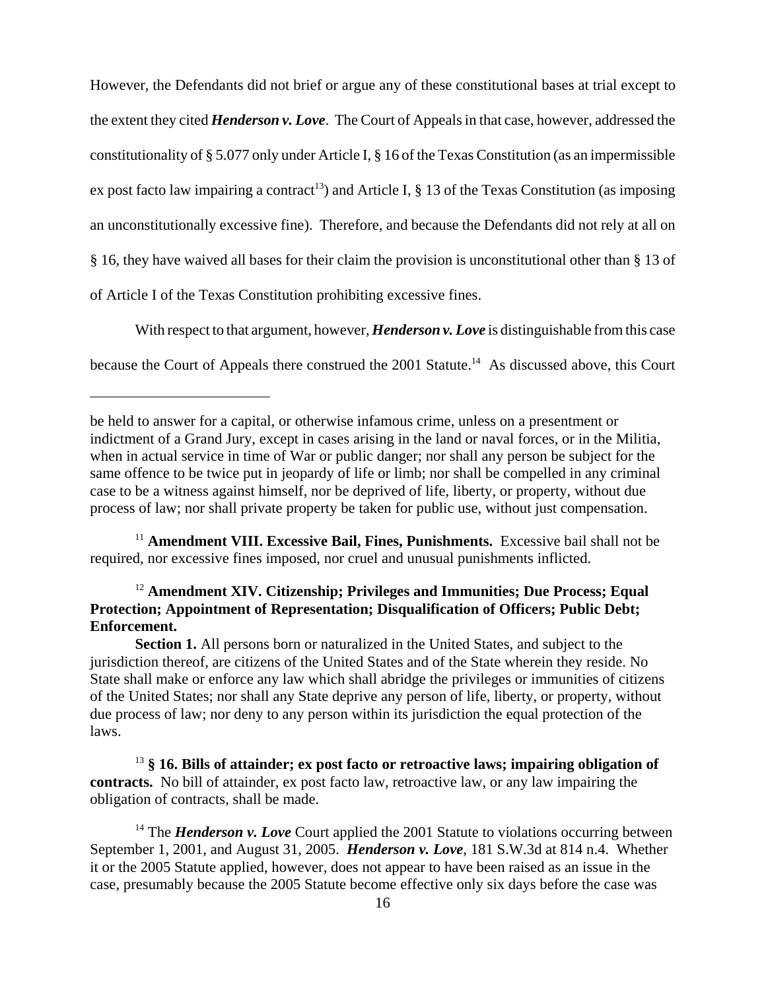However, the Defendants did not brief or argue any of these constitutional bases at trial except to the extent they cited *Henderson v. Love*. The Court of Appeals in that case, however, addressed the constitutionality of § 5.077 only under Article I, § 16 of the Texas Constitution (as an impermissible ex post facto law impairing a contract<sup>13</sup>) and Article I,  $\S$  13 of the Texas Constitution (as imposing an unconstitutionally excessive fine). Therefore, and because the Defendants did not rely at all on § 16, they have waived all bases for their claim the provision is unconstitutional other than § 13 of of Article I of the Texas Constitution prohibiting excessive fines.

With respect to that argument, however, *Henderson v. Love* is distinguishable from this case because the Court of Appeals there construed the 2001 Statute.<sup>14</sup> As discussed above, this Court

<sup>11</sup> Amendment VIII. Excessive Bail, Fines, Punishments. Excessive bail shall not be required, nor excessive fines imposed, nor cruel and unusual punishments inflicted.

# <sup>12</sup> Amendment XIV. Citizenship; Privileges and Immunities; Due Process; Equal **Protection; Appointment of Representation; Disqualification of Officers; Public Debt; Enforcement.**

**Section 1.** All persons born or naturalized in the United States, and subject to the jurisdiction thereof, are citizens of the United States and of the State wherein they reside. No State shall make or enforce any law which shall abridge the privileges or immunities of citizens of the United States; nor shall any State deprive any person of life, liberty, or property, without due process of law; nor deny to any person within its jurisdiction the equal protection of the laws.

<sup>13</sup> **§ 16. Bills of attainder; ex post facto or retroactive laws; impairing obligation of contracts.** No bill of attainder, ex post facto law, retroactive law, or any law impairing the obligation of contracts, shall be made.

<sup>14</sup> The *Henderson v. Love* Court applied the 2001 Statute to violations occurring between September 1, 2001, and August 31, 2005. *Henderson v. Love*, 181 S.W.3d at 814 n.4. Whether it or the 2005 Statute applied, however, does not appear to have been raised as an issue in the case, presumably because the 2005 Statute become effective only six days before the case was

be held to answer for a capital, or otherwise infamous crime, unless on a presentment or indictment of a Grand Jury, except in cases arising in the land or naval forces, or in the Militia, when in actual service in time of War or public danger; nor shall any person be subject for the same offence to be twice put in jeopardy of life or limb; nor shall be compelled in any criminal case to be a witness against himself, nor be deprived of life, liberty, or property, without due process of law; nor shall private property be taken for public use, without just compensation.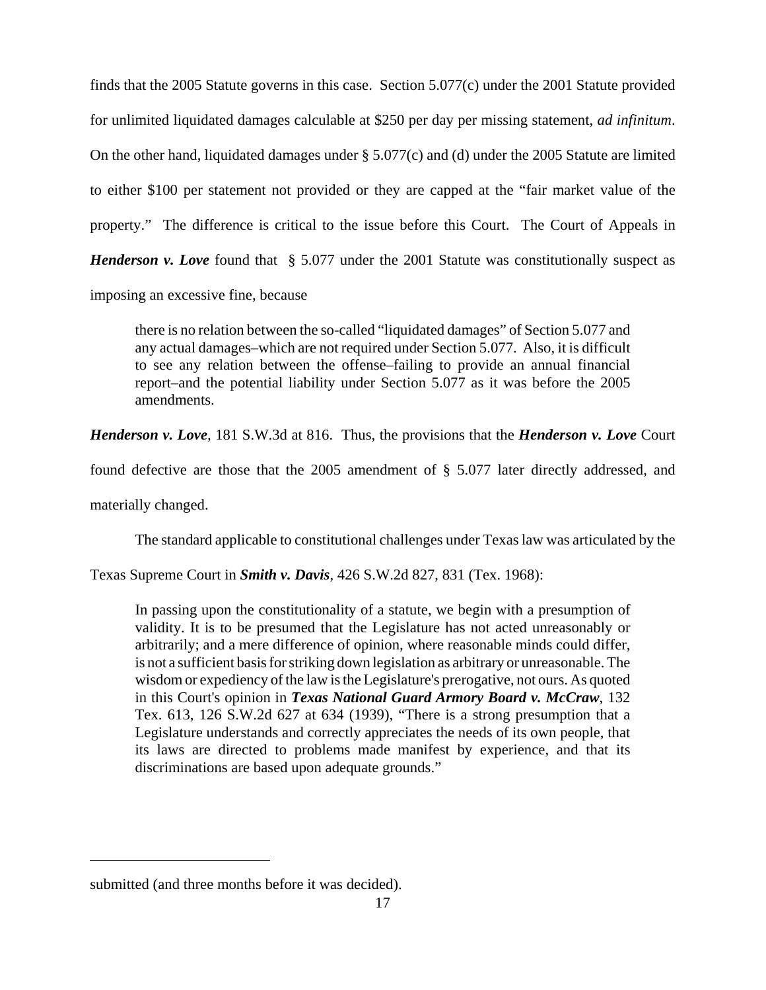finds that the 2005 Statute governs in this case. Section 5.077(c) under the 2001 Statute provided for unlimited liquidated damages calculable at \$250 per day per missing statement, *ad infinitum*. On the other hand, liquidated damages under § 5.077(c) and (d) under the 2005 Statute are limited to either \$100 per statement not provided or they are capped at the "fair market value of the property." The difference is critical to the issue before this Court. The Court of Appeals in *Henderson v. Love* found that § 5.077 under the 2001 Statute was constitutionally suspect as

imposing an excessive fine, because

there is no relation between the so-called "liquidated damages" of Section 5.077 and any actual damages–which are not required under Section 5.077. Also, it is difficult to see any relation between the offense–failing to provide an annual financial report–and the potential liability under Section 5.077 as it was before the 2005 amendments.

*Henderson v. Love,* 181 S.W.3d at 816. Thus, the provisions that the *Henderson v. Love* Court

found defective are those that the 2005 amendment of § 5.077 later directly addressed, and

materially changed.

The standard applicable to constitutional challenges under Texas law was articulated by the

Texas Supreme Court in *Smith v. Davis*, 426 S.W.2d 827, 831 (Tex. 1968):

In passing upon the constitutionality of a statute, we begin with a presumption of validity. It is to be presumed that the Legislature has not acted unreasonably or arbitrarily; and a mere difference of opinion, where reasonable minds could differ, is not a sufficient basis for striking down legislation as arbitrary or unreasonable. The wisdom or expediency of the law is the Legislature's prerogative, not ours. As quoted in this Court's opinion in *Texas National Guard Armory Board v. McCraw*, 132 Tex. 613, 126 S.W.2d 627 at 634 (1939), "There is a strong presumption that a Legislature understands and correctly appreciates the needs of its own people, that its laws are directed to problems made manifest by experience, and that its discriminations are based upon adequate grounds."

submitted (and three months before it was decided).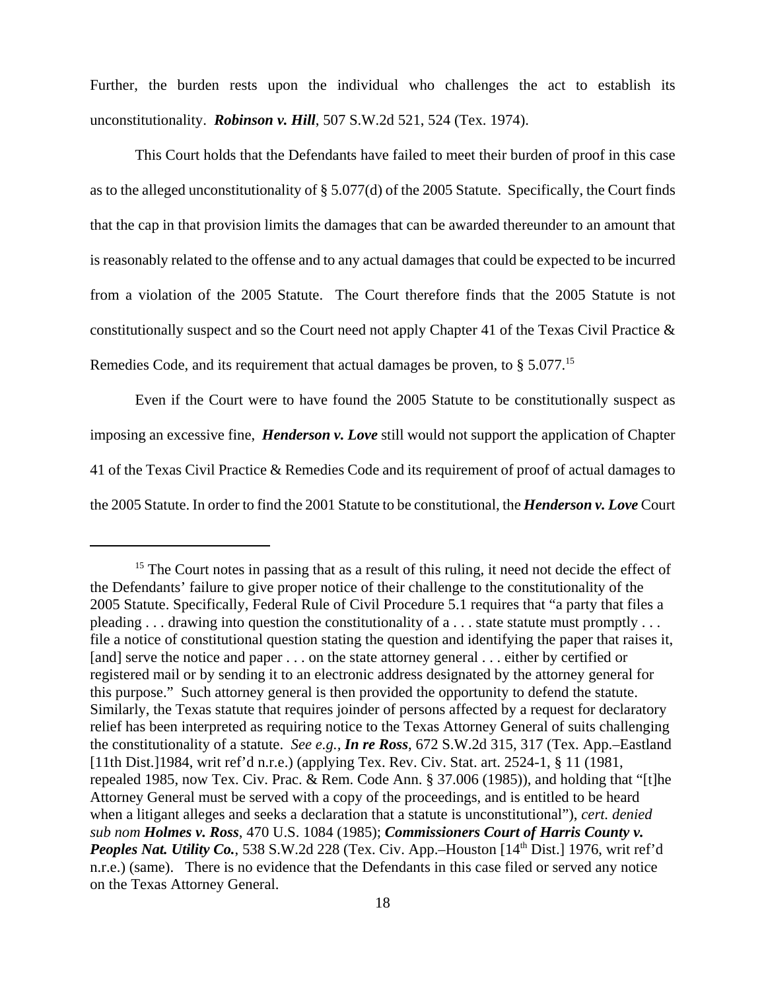Further, the burden rests upon the individual who challenges the act to establish its unconstitutionality. *Robinson v. Hill*, 507 S.W.2d 521, 524 (Tex. 1974).

This Court holds that the Defendants have failed to meet their burden of proof in this case as to the alleged unconstitutionality of § 5.077(d) of the 2005 Statute. Specifically, the Court finds that the cap in that provision limits the damages that can be awarded thereunder to an amount that is reasonably related to the offense and to any actual damages that could be expected to be incurred from a violation of the 2005 Statute. The Court therefore finds that the 2005 Statute is not constitutionally suspect and so the Court need not apply Chapter 41 of the Texas Civil Practice & Remedies Code, and its requirement that actual damages be proven, to § 5.077.15

Even if the Court were to have found the 2005 Statute to be constitutionally suspect as imposing an excessive fine, *Henderson v. Love* still would not support the application of Chapter 41 of the Texas Civil Practice & Remedies Code and its requirement of proof of actual damages to the 2005 Statute. In order to find the 2001 Statute to be constitutional, the *Henderson v. Love* Court

<sup>&</sup>lt;sup>15</sup> The Court notes in passing that as a result of this ruling, it need not decide the effect of the Defendants' failure to give proper notice of their challenge to the constitutionality of the 2005 Statute. Specifically, Federal Rule of Civil Procedure 5.1 requires that "a party that files a pleading . . . drawing into question the constitutionality of a . . . state statute must promptly . . . file a notice of constitutional question stating the question and identifying the paper that raises it, [and] serve the notice and paper . . . on the state attorney general . . . either by certified or registered mail or by sending it to an electronic address designated by the attorney general for this purpose." Such attorney general is then provided the opportunity to defend the statute. Similarly, the Texas statute that requires joinder of persons affected by a request for declaratory relief has been interpreted as requiring notice to the Texas Attorney General of suits challenging the constitutionality of a statute. *See e.g., In re Ross*, 672 S.W.2d 315, 317 (Tex. App.–Eastland [11th Dist.]1984, writ ref'd n.r.e.) (applying Tex. Rev. Civ. Stat. art. 2524-1, § 11 (1981, repealed 1985, now Tex. Civ. Prac. & Rem. Code Ann. § 37.006 (1985)), and holding that "[t]he Attorney General must be served with a copy of the proceedings, and is entitled to be heard when a litigant alleges and seeks a declaration that a statute is unconstitutional"), *cert. denied sub nom Holmes v. Ross*, 470 U.S. 1084 (1985); *Commissioners Court of Harris County v.* Peoples Nat. Utility Co., 538 S.W.2d 228 (Tex. Civ. App.–Houston [14<sup>th</sup> Dist.] 1976, writ ref'd n.r.e.) (same). There is no evidence that the Defendants in this case filed or served any notice on the Texas Attorney General.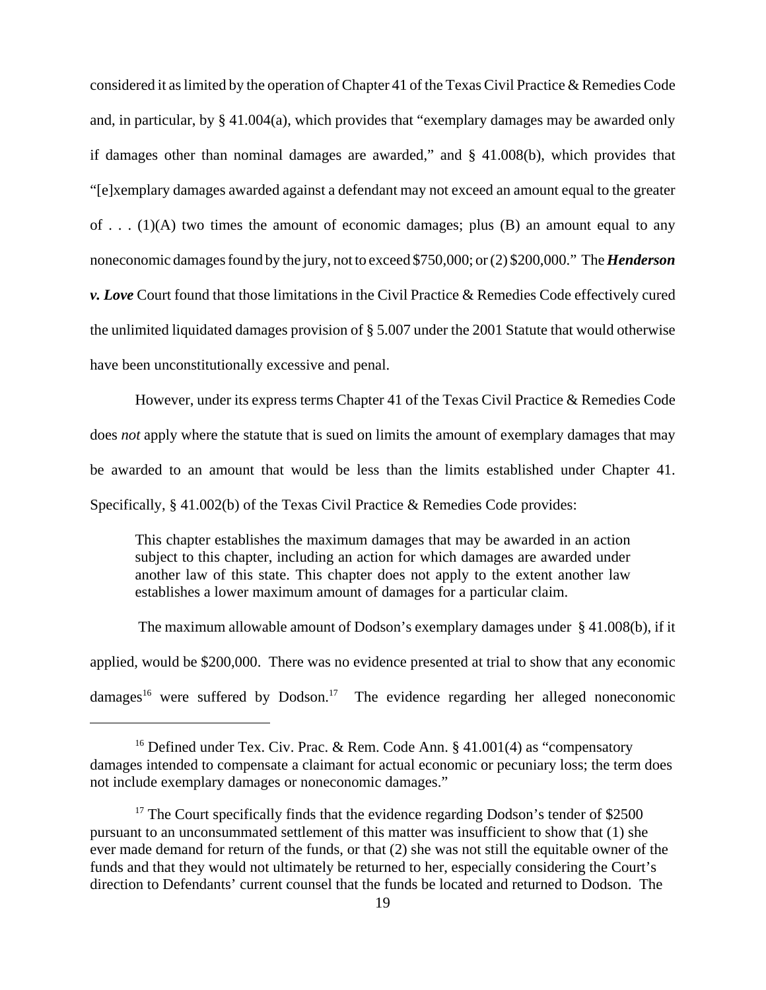considered it as limited by the operation of Chapter 41 of the Texas Civil Practice & Remedies Code and, in particular, by § 41.004(a), which provides that "exemplary damages may be awarded only if damages other than nominal damages are awarded," and § 41.008(b), which provides that "[e]xemplary damages awarded against a defendant may not exceed an amount equal to the greater of ...  $(1)(A)$  two times the amount of economic damages; plus  $(B)$  an amount equal to any noneconomic damages found by the jury, not to exceed \$750,000; or (2) \$200,000." The *Henderson v. Love* Court found that those limitations in the Civil Practice & Remedies Code effectively cured the unlimited liquidated damages provision of § 5.007 under the 2001 Statute that would otherwise have been unconstitutionally excessive and penal.

However, under its express terms Chapter 41 of the Texas Civil Practice & Remedies Code does *not* apply where the statute that is sued on limits the amount of exemplary damages that may be awarded to an amount that would be less than the limits established under Chapter 41. Specifically, § 41.002(b) of the Texas Civil Practice & Remedies Code provides:

This chapter establishes the maximum damages that may be awarded in an action subject to this chapter, including an action for which damages are awarded under another law of this state. This chapter does not apply to the extent another law establishes a lower maximum amount of damages for a particular claim.

 The maximum allowable amount of Dodson's exemplary damages under § 41.008(b), if it applied, would be \$200,000. There was no evidence presented at trial to show that any economic damages<sup>16</sup> were suffered by Dodson.<sup>17</sup> The evidence regarding her alleged noneconomic

<sup>&</sup>lt;sup>16</sup> Defined under Tex. Civ. Prac. & Rem. Code Ann. § 41.001(4) as "compensatory damages intended to compensate a claimant for actual economic or pecuniary loss; the term does not include exemplary damages or noneconomic damages."

<sup>&</sup>lt;sup>17</sup> The Court specifically finds that the evidence regarding Dodson's tender of \$2500 pursuant to an unconsummated settlement of this matter was insufficient to show that (1) she ever made demand for return of the funds, or that (2) she was not still the equitable owner of the funds and that they would not ultimately be returned to her, especially considering the Court's direction to Defendants' current counsel that the funds be located and returned to Dodson. The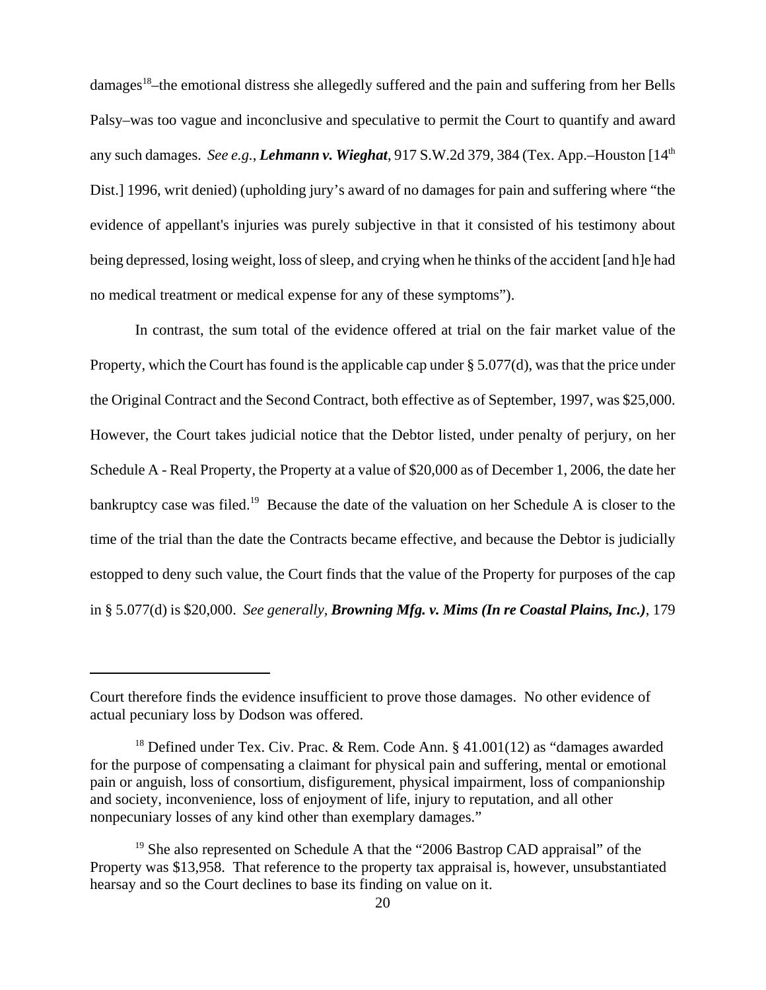damages<sup>18</sup>–the emotional distress she allegedly suffered and the pain and suffering from her Bells Palsy–was too vague and inconclusive and speculative to permit the Court to quantify and award any such damages. *See e.g.*, *Lehmann v. Wieghat*, 917 S.W.2d 379, 384 (Tex. App.–Houston [14th Dist.] 1996, writ denied) (upholding jury's award of no damages for pain and suffering where "the evidence of appellant's injuries was purely subjective in that it consisted of his testimony about being depressed, losing weight, loss of sleep, and crying when he thinks of the accident [and h]e had no medical treatment or medical expense for any of these symptoms").

In contrast, the sum total of the evidence offered at trial on the fair market value of the Property, which the Court has found is the applicable cap under § 5.077(d), was that the price under the Original Contract and the Second Contract, both effective as of September, 1997, was \$25,000. However, the Court takes judicial notice that the Debtor listed, under penalty of perjury, on her Schedule A - Real Property, the Property at a value of \$20,000 as of December 1, 2006, the date her bankruptcy case was filed.<sup>19</sup> Because the date of the valuation on her Schedule A is closer to the time of the trial than the date the Contracts became effective, and because the Debtor is judicially estopped to deny such value, the Court finds that the value of the Property for purposes of the cap in § 5.077(d) is \$20,000. *See generally, Browning Mfg. v. Mims (In re Coastal Plains, Inc.)*, 179

Court therefore finds the evidence insufficient to prove those damages. No other evidence of actual pecuniary loss by Dodson was offered.

<sup>&</sup>lt;sup>18</sup> Defined under Tex. Civ. Prac. & Rem. Code Ann. § 41.001(12) as "damages awarded for the purpose of compensating a claimant for physical pain and suffering, mental or emotional pain or anguish, loss of consortium, disfigurement, physical impairment, loss of companionship and society, inconvenience, loss of enjoyment of life, injury to reputation, and all other nonpecuniary losses of any kind other than exemplary damages."

 $19$  She also represented on Schedule A that the "2006 Bastrop CAD appraisal" of the Property was \$13,958. That reference to the property tax appraisal is, however, unsubstantiated hearsay and so the Court declines to base its finding on value on it.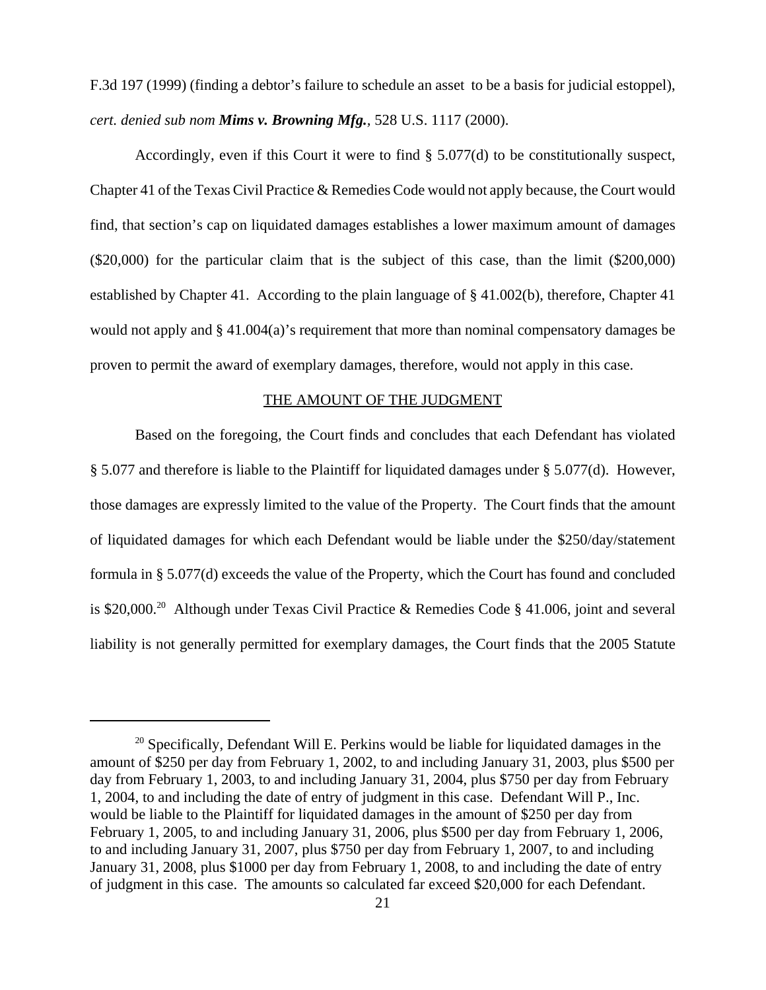F.3d 197 (1999) (finding a debtor's failure to schedule an asset to be a basis for judicial estoppel), *cert. denied sub nom Mims v. Browning Mfg.,* 528 U.S. 1117 (2000).

Accordingly, even if this Court it were to find § 5.077(d) to be constitutionally suspect, Chapter 41 of the Texas Civil Practice & Remedies Code would not apply because, the Court would find, that section's cap on liquidated damages establishes a lower maximum amount of damages (\$20,000) for the particular claim that is the subject of this case, than the limit (\$200,000) established by Chapter 41. According to the plain language of § 41.002(b), therefore, Chapter 41 would not apply and § 41.004(a)'s requirement that more than nominal compensatory damages be proven to permit the award of exemplary damages, therefore, would not apply in this case.

## THE AMOUNT OF THE JUDGMENT

Based on the foregoing, the Court finds and concludes that each Defendant has violated § 5.077 and therefore is liable to the Plaintiff for liquidated damages under § 5.077(d). However, those damages are expressly limited to the value of the Property. The Court finds that the amount of liquidated damages for which each Defendant would be liable under the \$250/day/statement formula in § 5.077(d) exceeds the value of the Property, which the Court has found and concluded is \$20,000.<sup>20</sup> Although under Texas Civil Practice & Remedies Code § 41.006, joint and several liability is not generally permitted for exemplary damages, the Court finds that the 2005 Statute

 $20$  Specifically, Defendant Will E. Perkins would be liable for liquidated damages in the amount of \$250 per day from February 1, 2002, to and including January 31, 2003, plus \$500 per day from February 1, 2003, to and including January 31, 2004, plus \$750 per day from February 1, 2004, to and including the date of entry of judgment in this case. Defendant Will P., Inc. would be liable to the Plaintiff for liquidated damages in the amount of \$250 per day from February 1, 2005, to and including January 31, 2006, plus \$500 per day from February 1, 2006, to and including January 31, 2007, plus \$750 per day from February 1, 2007, to and including January 31, 2008, plus \$1000 per day from February 1, 2008, to and including the date of entry of judgment in this case. The amounts so calculated far exceed \$20,000 for each Defendant.